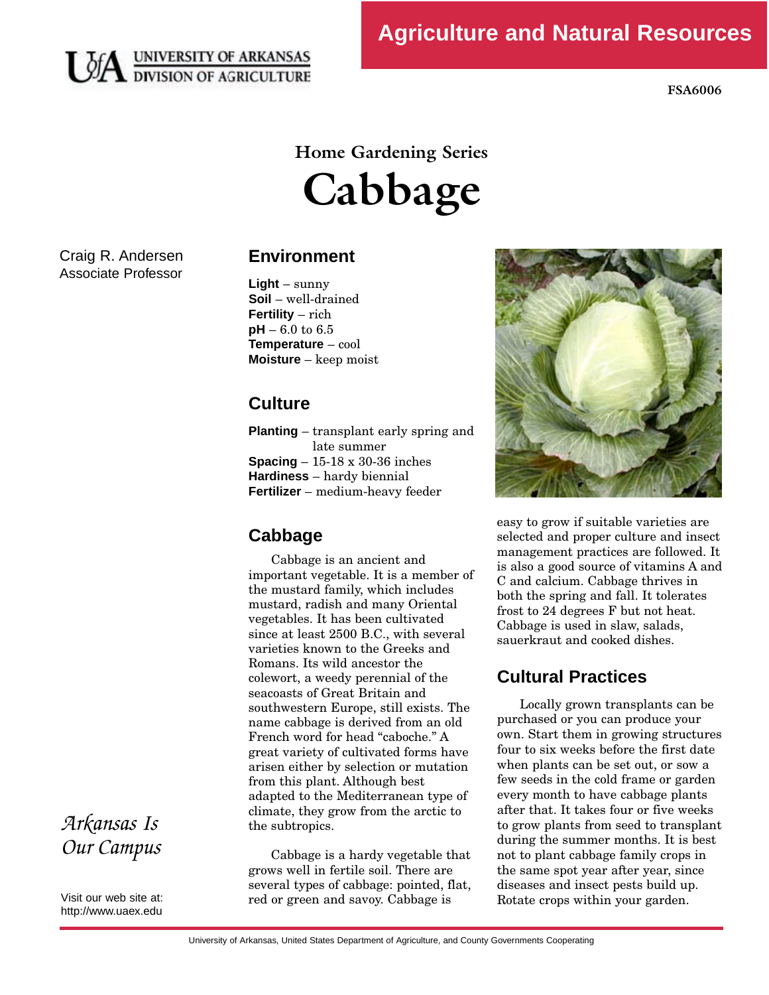

**FSA6006** 

# **Home Gardening Series Cabbage**

Craig R. Andersen Associate Professor

# **Environment**

**Light** – sunny **Soil** – well-drained **Fertility** – rich **pH** – 6.0 to 6.5 **Temperature** – cool **Moisture** – keep moist

# **Culture**

**Planting** – transplant early spring and<br>late summer **Spacing – 15-18 x 30-36 inches**<br>**Hardiness** hardy biomial **Hardiness** – hardy biennial **Fertilizer** – medium-heavy feeder

# **Cabbage**

Cabbage is an ancient and<br>important vegetable. It is a member of the mustard family, which includes mustard, radish and many Oriental vegetables. It has been cultivated since at least 2500 B.C., with several varieties known to the Greeks and Romans. Its wild ancestor the colewort, a weedy perennial of the seacoasts of Great Britain and southwestern Europe, still exists. The name cabbage is derived from an old French word for head "caboche." A great variety of cultivated forms have arisen either by selection or mutation from this plant. Although best adapted to the Mediterranean type of climate, they grow from the arctic to climate, they grow from the arctic to the subtropics.

Cabbage is a hardy vegetable that<br>grows well in fertile soil. There are several types of cabbage: pointed, flat, several types of cabbage: pointed, flat, red or green and savoy. Cabbage is



easy to grow if suitable varieties are<br>selected and proper culture and insect management practices are followed. It is also a good source of vitamins A and C and calcium. Cabbage thrives in both the spring and fall. It tolerates frost to  $24$  degrees  $F$  but not heat. Cabbage is used in slaw, salads, sauerkraut and cooked dishes. sauerkraut and cooked dishes.

# **Cultural Practices**

Locally grown transplants can be<br>purchased or you can produce your own. Start them in growing structures four to six weeks before the first date when plants can be set out, or sow a few seeds in the cold frame or garden every month to have cabbage plants after that. It takes four or five weeks to grow plants from seed to transplant. during the summer months. It is best not to plant cabbage family crops in the same spot year after year, since diseases and insect pests build up. diseases and insect pests build up. Rotate crops within your garden.

*Arkansas Is Our Campus* 

Visit our web site at: http://www.uaex.edu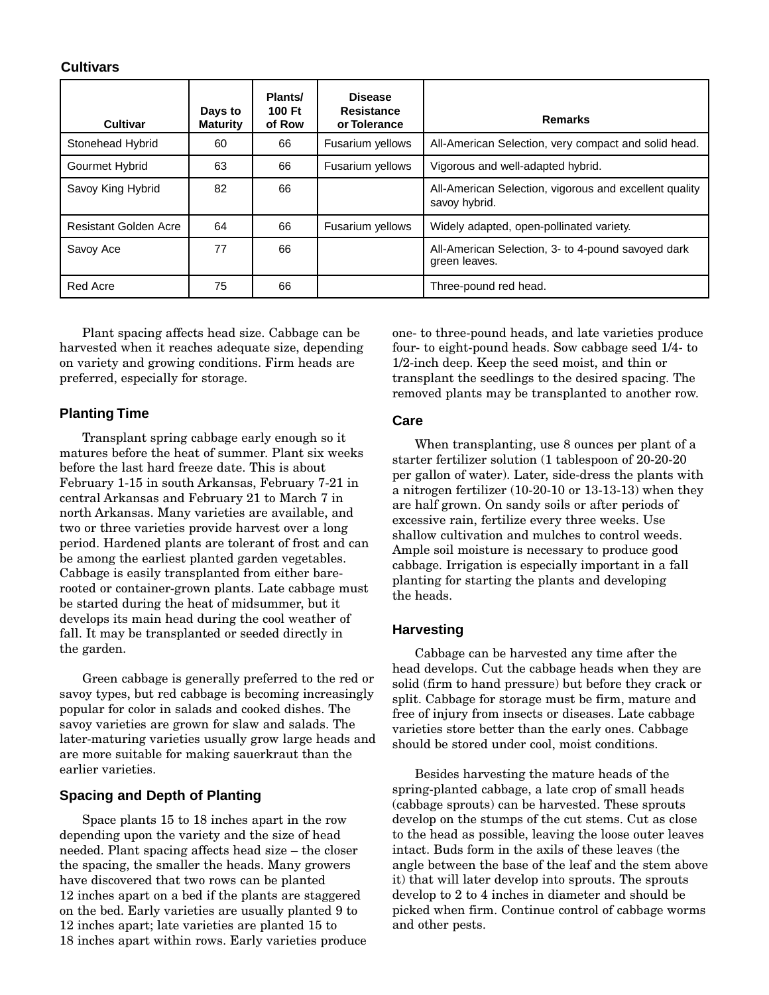#### **Cultivars**

| Cultivar              | Days to<br><b>Maturity</b> | Plants/<br>100 Ft<br>of Row | <b>Disease</b><br><b>Resistance</b><br>or Tolerance | <b>Remarks</b>                                                          |
|-----------------------|----------------------------|-----------------------------|-----------------------------------------------------|-------------------------------------------------------------------------|
| Stonehead Hybrid      | 60                         | 66                          | Fusarium yellows                                    | All-American Selection, very compact and solid head.                    |
| Gourmet Hybrid        | 63                         | 66                          | Fusarium yellows                                    | Vigorous and well-adapted hybrid.                                       |
| Savoy King Hybrid     | 82                         | 66                          |                                                     | All-American Selection, vigorous and excellent quality<br>savoy hybrid. |
| Resistant Golden Acre | 64                         | 66                          | Fusarium yellows                                    | Widely adapted, open-pollinated variety.                                |
| Savoy Ace             | 77                         | 66                          |                                                     | All-American Selection, 3- to 4-pound savoyed dark<br>green leaves.     |
| Red Acre              | 75                         | 66                          |                                                     | Three-pound red head.                                                   |

Plant spacing affects head size. Cabbage can be on variety and growing conditions. Firm heads are on variety and growing conditions. Firm heads are preferred, especially for storage.

## **Planting Time**

Transplant spring cabbage early enough so it before the last hard freeze date. This is about February 1-15 in south Arkansas, February 7-21 in central Arkansas and February 21 to March 7 in north Arkansas. Many varieties are available, and two or three varieties provide harvest over a long period. Hardened plants are tolerant of frost and can be among the earliest planted garden vegetables. Cabbage is easily transplanted from either barerooted or container-grown plants. Late cabbage must be started during the heat of midsummer, but it develops its main head during the cool weather of develops its main head during the cool weather of fall. It may be transplanted or seeded directly in the garden.

Green cabbage is generally preferred to the red or<br>savoy types, but red cabbage is becoming increasingly popular for color in salads and cooked dishes. The savoy varieties are grown for slaw and salads. The later-maturing varieties usually grow large heads and are more suitable for making sauerkraut than the earlier varieties. earlier varieties.

## **Spacing and Depth of Planting**

Space plants 15 to 18 inches apart in the row needed. Plant spacing affects head size - the closer the spacing, the smaller the heads. Many growers have discovered that two rows can be planted. 12 inches apart on a bed if the plants are staggered on the bed. Early varieties are usually planted 9 to 12 inches apart; late varieties are planted 15 to 12 inches apart; late varieties are planted 15 to 18 inches apart within rows. Early varieties produce one- to three-pound heads, and late varieties produce  $1/2$ -inch deep. Keep the seed moist, and thin or transplant the seedlings to the desired spacing. The transplant the seedlings to the desired spacing. The removed plants may be transplanted to another row.

#### **Care**

When transplanting, use 8 ounces per plant of a<br>starter fertilizer solution (1 tablespoon of 20-20-20 per gallon of water). Later, side-dress the plants with a nitrogen fertilizer (10-20-10 or 13-13-13) when they are half grown. On sandy soils or after periods of excessive rain, fertilize every three weeks. Use shallow cultivation and mulches to control weeds. Ample soil moisture is necessary to produce good. cabbage. Irrigation is especially important in a fall planting for starting the plants and developing the heads. the heads.

#### **Harvesting**

Cabbage can be harvested any time after the<br>head develops. Cut the cabbage heads when they are solid (firm to hand pressure) but before they crack or split. Cabbage for storage must be firm, mature and free of injury from insects or diseases. Late cabbage varieties store better than the early ones. Cabbage should be stored under cool, moist conditions. should be stored under cool, moist conditions.

Besides harvesting the mature heads of the<br>spring-planted cabbage, a late crop of small heads (cabbage sprouts) can be harvested. These sprouts develop on the stumps of the cut stems. Cut as close to the head as possible, leaving the loose outer leaves. intact. Buds form in the axils of these leaves (the angle between the base of the leaf and the stem above it) that will later develop into sprouts. The sprouts develop to 2 to 4 inches in diameter and should be picked when firm. Continue control of cabbage worms picked when firm. Continue control of cabbage worms and other pests.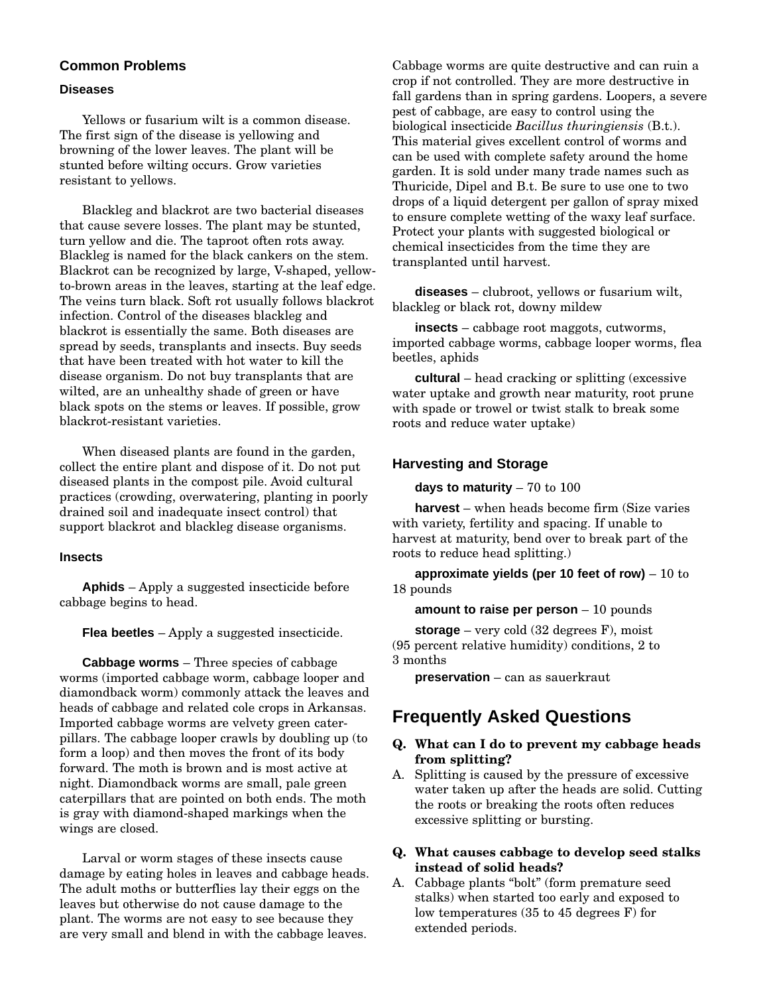### **Common Problems**

#### **Diseases**

Yellows or fusarium wilt is a common disease.<br>The first sign of the disease is yellowing and browning of the lower leaves. The plant will be stunted before wilting occurs. Grow varieties stunted before wilting occurs. Grow varieties resistant to yellows.

Blackleg and blackrot are two bacterial diseases turn yellow and die. The taproot often rots away. Blackleg is named for the black cankers on the stem. Blackrot can be recognized by large, V-shaped, yellowto-brown areas in the leaves, starting at the leaf edge. The veins turn black. Soft rot usually follows blackrot infection. Control of the diseases blackleg and blackrot is essentially the same. Both diseases are spread by seeds, transplants and insects. Buy seeds that have been treated with hot water to kill the disease organism. Do not buy transplants that are wilted, are an unhealthy shade of green or have black spots on the stems or leaves. If possible, grow black rot-resistant varieties. blackrot-resistant varieties.

When diseased plants are found in the garden,<br>collect the entire plant and dispose of it. Do not put diseased plants in the compost pile. Avoid cultural practices (crowding, overwatering, planting in poorly drained soil and inadequate insect control) that drained soil and inadequate insect control) that support blackrot and blackleg disease organisms.

#### **Insects**

**Aphids** – Apply a suggested insecticide before cabbage begins to head.

**Flea beetles** – Apply a suggested insecticide.

**Cabbage worms** – Three species of cabbage<br>worms (imported cabbage worm, cabbage looper and diamondback worm) commonly attack the leaves and heads of cabbage and related cole crops in Arkansas. Imported cabbage worms are velvety green caterpillars. The cabbage looper crawls by doubling up (to form a loop) and then moves the front of its body forward. The moth is brown and is most active at night. Diamondback worms are small, pale green caterpillars that are pointed on both ends. The moth caterpillars that are pointed on both ends. The moth is gray with diamond-shaped markings when the wings are closed.

Larval or worm stages of these insects cause<br>damage by eating holes in leaves and cabbage heads. The adult moths or butterflies lay their eggs on the leaves but otherwise do not cause damage to the plant. The worms are not easy to see because they plant. The worms are not easy to see because they are very small and blend in with the cabbage leaves. Cabbage worms are quite destructive and can ruin a fall gardens than in spring gardens. Loopers, a severe pest of cabbage, are easy to control using the pest of cabbage, are easy to control using the biological insecticide *Bacillus thuringiensis* (B.t.). This material gives excellent control of worms and garden. It is sold under many trade names such as Thuricide, Dipel and B.t. Be sure to use one to two drops of a liquid detergent per gallon of spray mixed to ensure complete wetting of the waxy leaf surface. Protect your plants with suggested biological or chemical insecticides from the time they are chemical insecticides from the time they are transplanted until harvest.

**diseases** – clubroot, yellows or fusarium wilt, blackleg or black rot, downy mildew

**insects** – cabbage root maggots, cutworms, imported cabbage worms, cabbage looper worms, flea beetles, aphids

**cultural** – head cracking or splitting (excessive water uptake and growth near maturity, root prune with spade or trowel or twist stalk to break some with spade or trower or twist stalk to steak some roots and reduce water uptake)

#### **Harvesting and Storage**

**days to maturity** – 70 to 100

**harvest** – when heads become firm (Size varies with variety, fertility and spacing. If unable to harvest at maturity, bend over to break part of the harvest at maturity, bend over to break part of the roots to reduce head splitting.)

**approximate yields (per 10 feet of row)** – 10 to 18 pounds

**amount to raise per person** – 10 pounds

**storage** – very cold (32 degrees F), moist (95 percent relative humidity) conditions, 2 to

**preservation** – can as sauerkraut

## **Frequently Asked Questions**

#### **Q. What can I do to prevent my cabbage heads from splitting?**

A. Splitting is caused by the pressure of excessive water taken up after the heads are solid. Cutting the roots or breaking the roots often reduces the roots or breaking the roots often reduces excessive splitting or bursting.

#### **Q. What causes cabbage to develop seed stalks instead of solid heads?**

A. Cabbage plants "bolt" (form premature seed<br>stalks) when started too early and exposed to low temperatures (35 to 45 degrees  $F$ ) for low temperatures (35 to 45 degrees F) for extended periods.